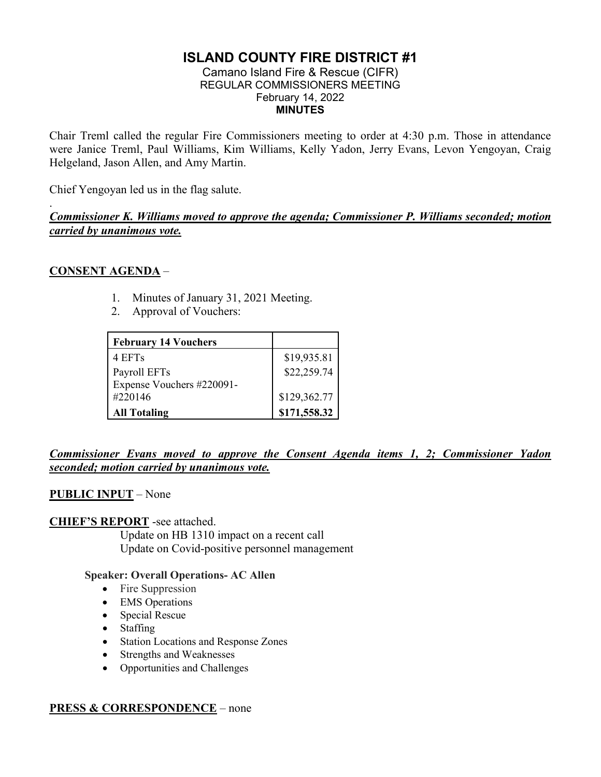# **ISLAND COUNTY FIRE DISTRICT #1**

#### Camano Island Fire & Rescue (CIFR) REGULAR COMMISSIONERS MEETING February 14, 2022 **MINUTES**

Chair Treml called the regular Fire Commissioners meeting to order at 4:30 p.m. Those in attendance were Janice Treml, Paul Williams, Kim Williams, Kelly Yadon, Jerry Evans, Levon Yengoyan, Craig Helgeland, Jason Allen, and Amy Martin.

Chief Yengoyan led us in the flag salute.

*Commissioner K. Williams moved to approve the agenda; Commissioner P. Williams seconded; motion carried by unanimous vote.*

# **CONSENT AGENDA** –

.

- 1. Minutes of January 31, 2021 Meeting.
- 2. Approval of Vouchers:

| <b>February 14 Vouchers</b> |              |
|-----------------------------|--------------|
| 4 EFTs                      | \$19,935.81  |
| Payroll EFTs                | \$22,259.74  |
| Expense Vouchers #220091-   |              |
| #220146                     | \$129,362.77 |
| <b>All Totaling</b>         | \$171,558.32 |

# *Commissioner Evans moved to approve the Consent Agenda items 1, 2; Commissioner Yadon seconded; motion carried by unanimous vote.*

# **PUBLIC INPUT** – None

### **CHIEF'S REPORT** -see attached.

Update on HB 1310 impact on a recent call Update on Covid-positive personnel management

### **Speaker: Overall Operations- AC Allen**

- Fire Suppression
- EMS Operations
- Special Rescue
- Staffing
- Station Locations and Response Zones
- Strengths and Weaknesses
- Opportunities and Challenges

### **PRESS & CORRESPONDENCE** – none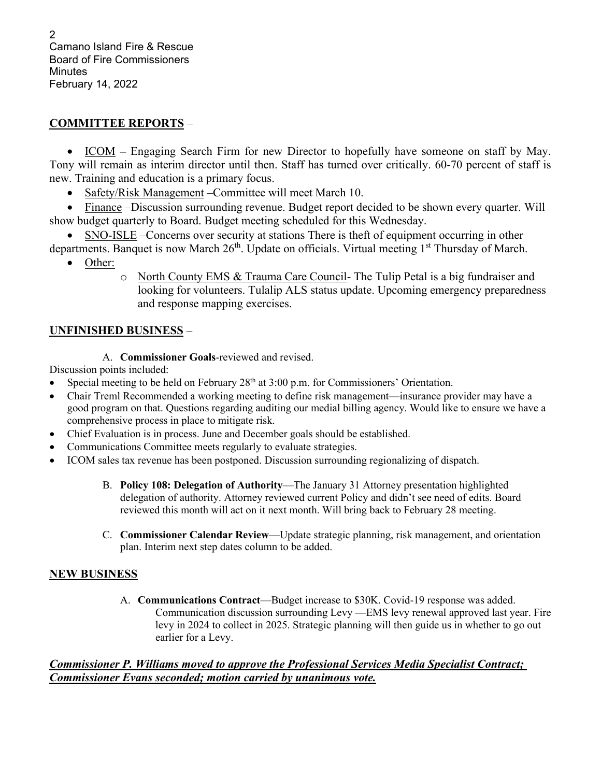2 Camano Island Fire & Rescue Board of Fire Commissioners **Minutes** February 14, 2022

# **COMMITTEE REPORTS** –

• ICOM **–** Engaging Search Firm for new Director to hopefully have someone on staff by May. Tony will remain as interim director until then. Staff has turned over critically. 60-70 percent of staff is new. Training and education is a primary focus.

• Safety/Risk Management – Committee will meet March 10.

• Finance –Discussion surrounding revenue. Budget report decided to be shown every quarter. Will show budget quarterly to Board. Budget meeting scheduled for this Wednesday.

• SNO-ISLE –Concerns over security at stations There is theft of equipment occurring in other departments. Banquet is now March 26<sup>th</sup>. Update on officials. Virtual meeting 1<sup>st</sup> Thursday of March.

- Other:
	- o North County EMS & Trauma Care Council- The Tulip Petal is a big fundraiser and looking for volunteers. Tulalip ALS status update. Upcoming emergency preparedness and response mapping exercises.

# **UNFINISHED BUSINESS** –

A. **Commissioner Goals**-reviewed and revised.

# Discussion points included:

- Special meeting to be held on February  $28<sup>th</sup>$  at  $3:00$  p.m. for Commissioners' Orientation.
- Chair Treml Recommended a working meeting to define risk management—insurance provider may have a good program on that. Questions regarding auditing our medial billing agency. Would like to ensure we have a comprehensive process in place to mitigate risk.
- Chief Evaluation is in process. June and December goals should be established.
- Communications Committee meets regularly to evaluate strategies.
- ICOM sales tax revenue has been postponed. Discussion surrounding regionalizing of dispatch.
	- B. **Policy 108: Delegation of Authority**—The January 31 Attorney presentation highlighted delegation of authority. Attorney reviewed current Policy and didn't see need of edits. Board reviewed this month will act on it next month. Will bring back to February 28 meeting.
	- C. **Commissioner Calendar Review**—Update strategic planning, risk management, and orientation plan. Interim next step dates column to be added.

# **NEW BUSINESS**

A. **Communications Contract**—Budget increase to \$30K. Covid-19 response was added. Communication discussion surrounding Levy —EMS levy renewal approved last year. Fire levy in 2024 to collect in 2025. Strategic planning will then guide us in whether to go out earlier for a Levy.

### *Commissioner P. Williams moved to approve the Professional Services Media Specialist Contract; Commissioner Evans seconded; motion carried by unanimous vote.*